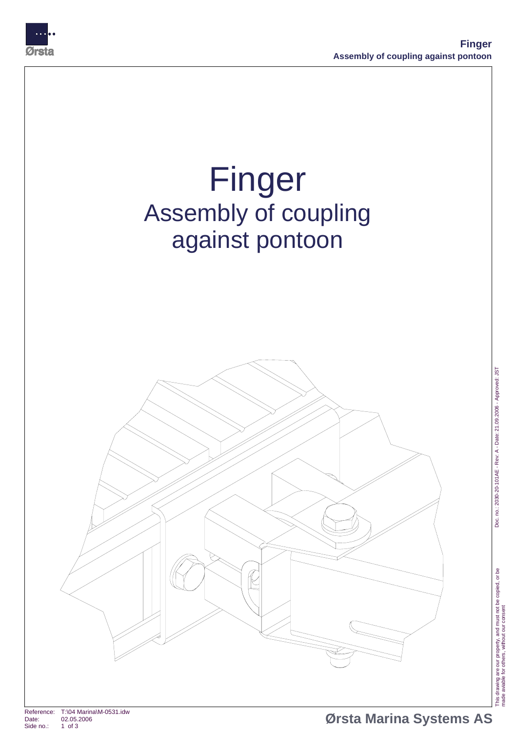



This drawing are our property, and must not be copied, or be

This drawing are our property, and must not be copied, or be<br>made aviable for others, without our consent

Doc. no.: 2030-20-101AE - Rev: A - Date: 21.09 2. 006 - Approved: JST

Doc. no.: 2030-20-101AE - Rev: A - Date: 21.09.2006 - Approved: JST

made aviable for others, without our consent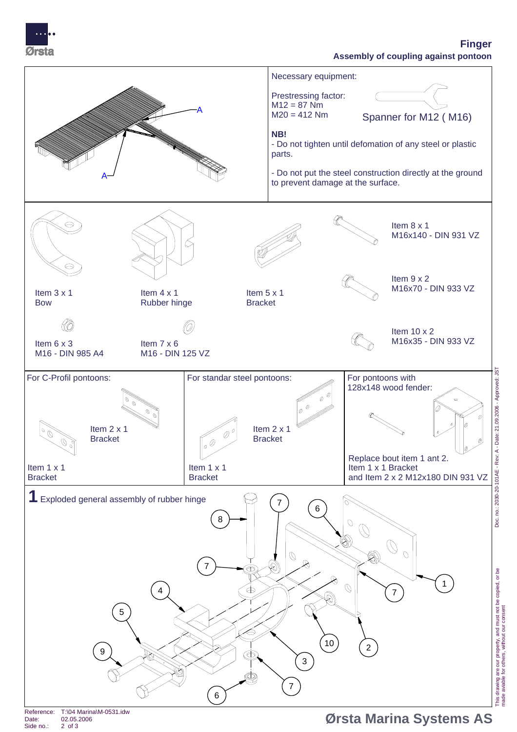

## **Finger Assembly of coupling against pontoon**



Date: 02.05.2006 Side no.:

Doc. no.: 2030-20-101AE - Rev: A - Date: 21.09 2. 006 - Approved: JST Doc. no.: 2030-20-101AE - Rev: A - Date: 21.09.2006 - Approved: JST This drawing are our property, and must not be copied, or be

made aviable for others, without our consent